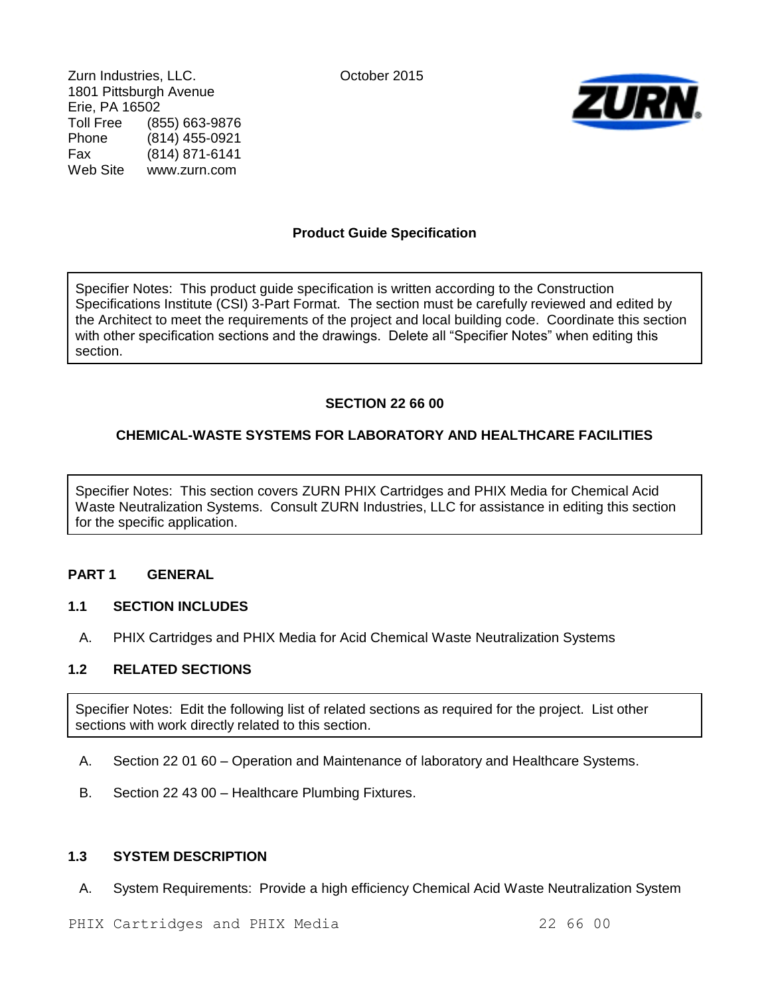Zurn Industries, LLC. Contract of Catalogue Contract October 2015 1801 Pittsburgh Avenue Erie, PA 16502 Toll Free (855) 663-9876<br>Phone (814) 455-0921 Phone (814) 455-0921 Fax (814) 871-6141 Web Site www.zurn.com



# **Product Guide Specification**

Specifier Notes: This product guide specification is written according to the Construction Specifications Institute (CSI) 3-Part Format. The section must be carefully reviewed and edited by the Architect to meet the requirements of the project and local building code. Coordinate this section with other specification sections and the drawings. Delete all "Specifier Notes" when editing this section.

# **SECTION 22 66 00**

# **CHEMICAL-WASTE SYSTEMS FOR LABORATORY AND HEALTHCARE FACILITIES**

Specifier Notes: This section covers ZURN PHIX Cartridges and PHIX Media for Chemical Acid Waste Neutralization Systems. Consult ZURN Industries, LLC for assistance in editing this section for the specific application.

# **PART 1 GENERAL**

## **1.1 SECTION INCLUDES**

A. PHIX Cartridges and PHIX Media for Acid Chemical Waste Neutralization Systems

## **1.2 RELATED SECTIONS**

Specifier Notes: Edit the following list of related sections as required for the project. List other sections with work directly related to this section.

- A. Section 22 01 60 Operation and Maintenance of laboratory and Healthcare Systems.
- B. Section 22 43 00 Healthcare Plumbing Fixtures.

## **1.3 SYSTEM DESCRIPTION**

A. System Requirements: Provide a high efficiency Chemical Acid Waste Neutralization System

PHIX Cartridges and PHIX Media 22 66 00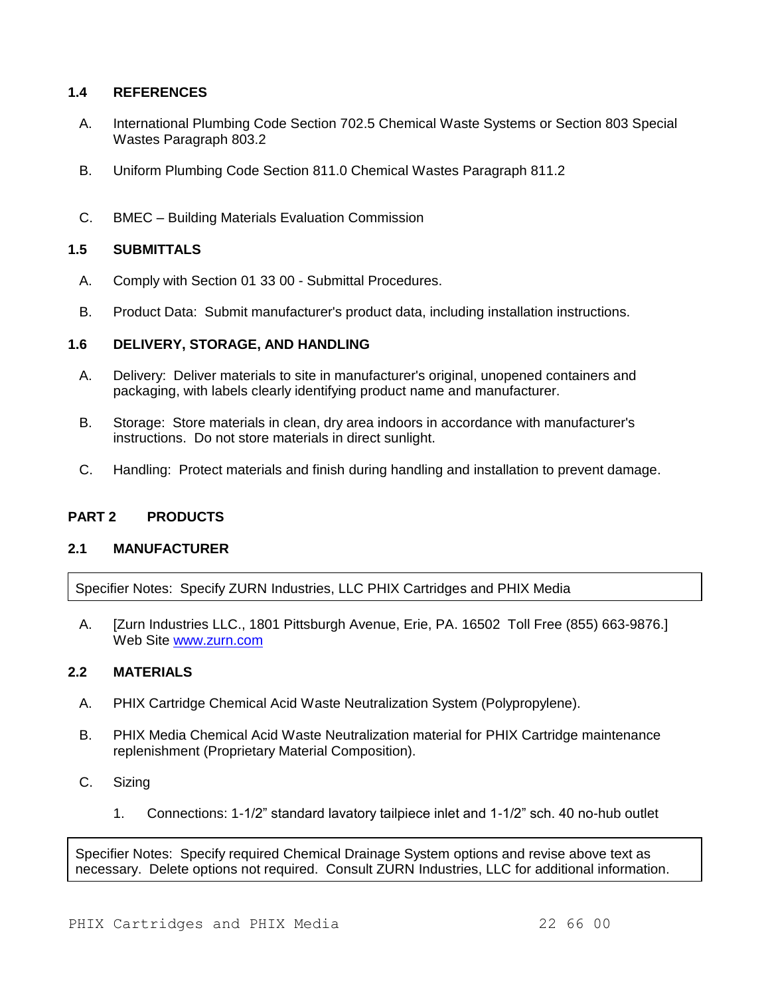## **1.4 REFERENCES**

- A. International Plumbing Code Section 702.5 Chemical Waste Systems or Section 803 Special Wastes Paragraph 803.2
- B. Uniform Plumbing Code Section 811.0 Chemical Wastes Paragraph 811.2
- C. BMEC Building Materials Evaluation Commission

### **1.5 SUBMITTALS**

- A. Comply with Section 01 33 00 Submittal Procedures.
- B. Product Data: Submit manufacturer's product data, including installation instructions.

### **1.6 DELIVERY, STORAGE, AND HANDLING**

- A. Delivery: Deliver materials to site in manufacturer's original, unopened containers and packaging, with labels clearly identifying product name and manufacturer.
- B. Storage: Store materials in clean, dry area indoors in accordance with manufacturer's instructions. Do not store materials in direct sunlight.
- C. Handling: Protect materials and finish during handling and installation to prevent damage.

#### **PART 2 PRODUCTS**

#### **2.1 MANUFACTURER**

Specifier Notes: Specify ZURN Industries, LLC PHIX Cartridges and PHIX Media

A. [Zurn Industries LLC., 1801 Pittsburgh Avenue, Erie, PA. 16502 Toll Free (855) 663-9876.] Web Site [www.zurn.com](http://www.zurn.com/)

## **2.2 MATERIALS**

- A. PHIX Cartridge Chemical Acid Waste Neutralization System (Polypropylene).
- B. PHIX Media Chemical Acid Waste Neutralization material for PHIX Cartridge maintenance replenishment (Proprietary Material Composition).
- C. Sizing
	- 1. Connections: 1-1/2" standard lavatory tailpiece inlet and 1-1/2" sch. 40 no-hub outlet

Specifier Notes: Specify required Chemical Drainage System options and revise above text as necessary. Delete options not required. Consult ZURN Industries, LLC for additional information.